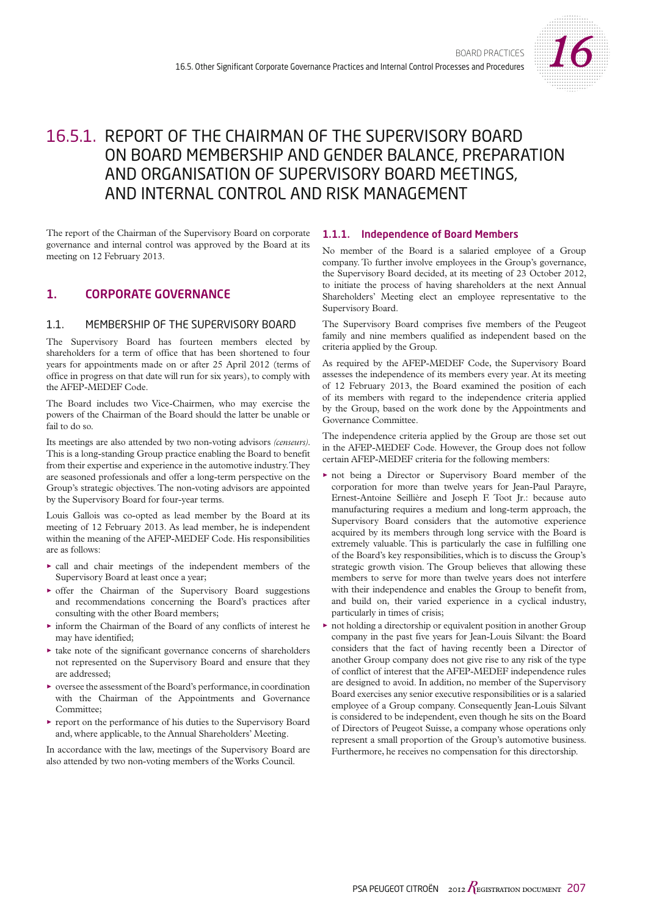

# 16.5.1. REPORT OF THE CHAIRMAN OF THE SUPERVISORY BOARD ON BOARD MEMBERSHIP AND GENDER BALANCE, PREPARATION AND ORGANISATION OF SUPERVISORY BOARD MEETINGS, AND INTERNAL CONTROL AND RISK MANAGEMENT

The report of the Chairman of the Supervisory Board on corporate governance and internal control was approved by the Board at its meeting on 12 February 2013.

# 1. CORPORATE GOVERNANCE

# 1.1. MEMBERSHIP OF THE SUPERVISORY BOARD

The Supervisory Board has fourteen members elected by shareholders for a term of office that has been shortened to four years for appointments made on or after 25 April 2012 (terms of office in progress on that date will run for six years), to comply with the AFEP-MEDEF Code.

The Board includes two Vice-Chairmen, who may exercise the powers of the Chairman of the Board should the latter be unable or fail to do so.

Its meetings are also attended by two non-voting advisors *(censeurs)*. This is a long-standing Group practice enabling the Board to benefit from their expertise and experience in the automotive industry. They are seasoned professionals and offer a long-term perspective on the Group's strategic objectives. The non-voting advisors are appointed by the Supervisory Board for four-year terms.

Louis Gallois was co-opted as lead member by the Board at its meeting of 12 February 2013. As lead member, he is independent within the meaning of the AFEP-MEDEF Code. His responsibilities are as follows:

- $\triangleright$  call and chair meetings of the independent members of the Supervisory Board at least once a year;
- $\triangleright$  offer the Chairman of the Supervisory Board suggestions and recommendations concerning the Board's practices after consulting with the other Board members;
- $\triangleright$  inform the Chairman of the Board of any conflicts of interest he may have identified;
- $\triangleright$  take note of the significant governance concerns of shareholders not represented on the Supervisory Board and ensure that they are addressed;
- $\blacktriangleright$  oversee the assessment of the Board's performance, in coordination with the Chairman of the Appointments and Governance Committee;
- O report on the performance of his duties to the Supervisory Board and, where applicable, to the Annual Shareholders' Meeting.

In accordance with the law, meetings of the Supervisory Board are also attended by two non-voting members of the Works Council.

# 1.1.1. Independence of Board Members

No member of the Board is a salaried employee of a Group company. To further involve employees in the Group's governance, the Supervisory Board decided, at its meeting of 23 October 2012, to initiate the process of having shareholders at the next Annual Shareholders' Meeting elect an employee representative to the Supervisory Board.

The Supervisory Board comprises five members of the Peugeot family and nine members qualified as independent based on the criteria applied by the Group.

As required by the AFEP-MEDEF Code, the Supervisory Board assesses the independence of its members every year. At its meeting of 12 February 2013, the Board examined the position of each of its members with regard to the independence criteria applied by the Group, based on the work done by the Appointments and Governance Committee.

The independence criteria applied by the Group are those set out in the AFEP-MEDEF Code. However, the Group does not follow certain AFEP-MEDEF criteria for the following members:

- not being a Director or Supervisory Board member of the corporation for more than twelve years for Jean-Paul Parayre, Ernest-Antoine Seillière and Joseph F. Toot Jr.: because auto manufacturing requires a medium and long-term approach, the Supervisory Board considers that the automotive experience acquired by its members through long service with the Board is extremely valuable. This is particularly the case in fulfilling one of the Board's key responsibilities, which is to discuss the Group's strategic growth vision. The Group believes that allowing these members to serve for more than twelve years does not interfere with their independence and enables the Group to benefit from, and build on, their varied experience in a cyclical industry, particularly in times of crisis;
- not holding a directorship or equivalent position in another Group company in the past five years for Jean-Louis Silvant: the Board considers that the fact of having recently been a Director of another Group company does not give rise to any risk of the type of conflict of interest that the AFEP-MEDEF independence rules are designed to avoid. In addition, no member of the Supervisory Board exercises any senior executive responsibilities or is a salaried employee of a Group company. Consequently Jean-Louis Silvant is considered to be independent, even though he sits on the Board of Directors of Peugeot Suisse, a company whose operations only represent a small proportion of the Group's automotive business. Furthermore, he receives no compensation for this directorship.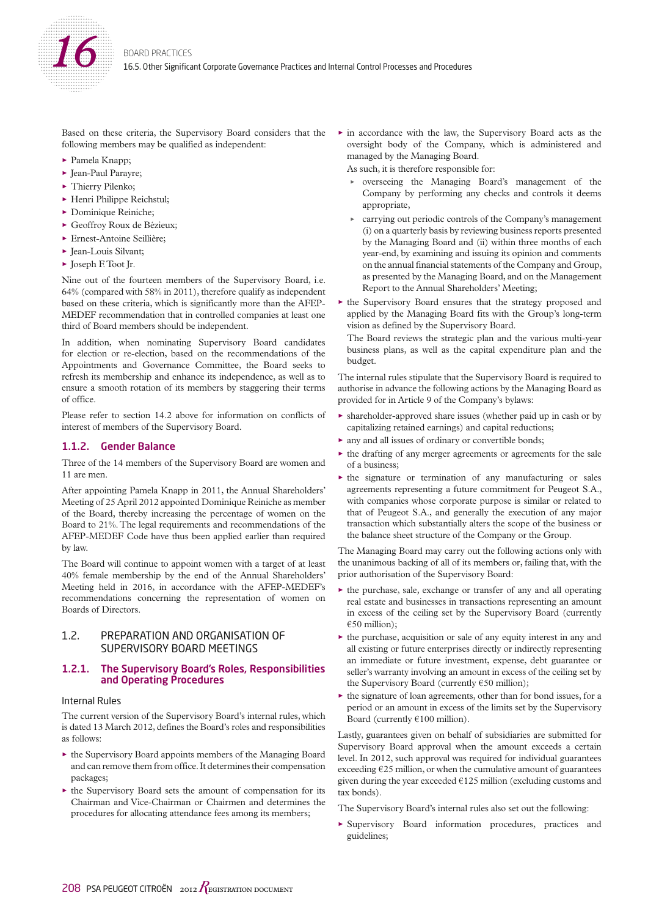

Based on these criteria, the Supervisory Board considers that the following members may be qualified as independent:

- $\blacktriangleright$  Pamela Knapp;
- ▶ Jean-Paul Parayre;
- $\blacktriangleright$  Thierry Pilenko;
- $\blacktriangleright$  Henri Philippe Reichstul;
- $\blacktriangleright$  Dominique Reiniche;
- Geoffroy Roux de Bézieux;
- ► Ernest-Antoine Seillière;
- $\blacktriangleright$  Iean-Louis Silvant;
- $\blacktriangleright$  Joseph F. Toot Jr.

Nine out of the fourteen members of the Supervisory Board, i.e. 64% (compared with 58% in 2011), therefore qualify as independent based on these criteria, which is significantly more than the AFEP-MEDEF recommendation that in controlled companies at least one third of Board members should be independent.

In addition, when nominating Supervisory Board candidates for election or re-election, based on the recommendations of the Appointments and Governance Committee, the Board seeks to refresh its membership and enhance its independence, as well as to ensure a smooth rotation of its members by staggering their terms of office.

Please refer to section 14.2 above for information on conflicts of interest of members of the Supervisory Board.

# 1.1.2. Gender Balance

Three of the 14 members of the Supervisory Board are women and 11 are men.

After appointing Pamela Knapp in 2011, the Annual Shareholders' Meeting of 25 April 2012 appointed Dominique Reiniche as member of the Board, thereby increasing the percentage of women on the Board to 21%. The legal requirements and recommendations of the AFEP-MEDEF Code have thus been applied earlier than required by law.

The Board will continue to appoint women with a target of at least 40% female membership by the end of the Annual Shareholders' Meeting held in 2016, in accordance with the AFEP-MEDEF's recommendations concerning the representation of women on Boards of Directors.

# 1.2. PREPARATION AND ORGANISATION OF SUPERVISORY BOARD MEETINGS

### 1.2.1. The Supervisory Board's Roles, Responsibilities and Operating Procedures

#### Internal Rules

The current version of the Supervisory Board's internal rules, which is dated 13 March 2012, defines the Board's roles and responsibilities as follows:

- $\triangleright$  the Supervisory Board appoints members of the Managing Board and can remove them from office. It determines their compensation packages;
- $\triangleright$  the Supervisory Board sets the amount of compensation for its Chairman and Vice-Chairman or Chairmen and determines the procedures for allocating attendance fees among its members;

 $\blacktriangleright$  in accordance with the law, the Supervisory Board acts as the oversight body of the Company, which is administered and managed by the Managing Board.

As such, it is therefore responsible for:

- overseeing the Managing Board's management of the Company by performing any checks and controls it deems appropriate,
- carrying out periodic controls of the Company's management (i) on a quarterly basis by reviewing business reports presented by the Managing Board and (ii) within three months of each year-end, by examining and issuing its opinion and comments on the annual financial statements of the Company and Group, as presented by the Managing Board, and on the Management Report to the Annual Shareholders' Meeting;
- $\blacktriangleright$  the Supervisory Board ensures that the strategy proposed and applied by the Managing Board fits with the Group's long-term vision as defined by the Supervisory Board.

The Board reviews the strategic plan and the various multi-year business plans, as well as the capital expenditure plan and the budget.

The internal rules stipulate that the Supervisory Board is required to authorise in advance the following actions by the Managing Board as provided for in Article 9 of the Company's bylaws:

- shareholder-approved share issues (whether paid up in cash or by capitalizing retained earnings) and capital reductions;
- $\triangleright$  any and all issues of ordinary or convertible bonds;
- $\triangleright$  the drafting of any merger agreements or agreements for the sale of a business;
- $\blacktriangleright$  the signature or termination of any manufacturing or sales agreements representing a future commitment for Peugeot S.A., with companies whose corporate purpose is similar or related to that of Peugeot S.A., and generally the execution of any major transaction which substantially alters the scope of the business or the balance sheet structure of the Company or the Group.

The Managing Board may carry out the following actions only with the unanimous backing of all of its members or, failing that, with the prior authorisation of the Supervisory Board:

- $\blacktriangleright$  the purchase, sale, exchange or transfer of any and all operating real estate and businesses in transactions representing an amount in excess of the ceiling set by the Supervisory Board (currently  $€50$  million);
- $\blacktriangleright$  the purchase, acquisition or sale of any equity interest in any and all existing or future enterprises directly or indirectly representing an immediate or future investment, expense, debt guarantee or seller's warranty involving an amount in excess of the ceiling set by the Supervisory Board (currently €50 million);
- $\triangleright$  the signature of loan agreements, other than for bond issues, for a period or an amount in excess of the limits set by the Supervisory Board (currently €100 million).

Lastly, guarantees given on behalf of subsidiaries are submitted for Supervisory Board approval when the amount exceeds a certain level. In 2012, such approval was required for individual guarantees exceeding  $E25$  million, or when the cumulative amount of guarantees given during the year exceeded  $€125$  million (excluding customs and tax bonds).

The Supervisory Board's internal rules also set out the following:

O Supervisory Board information procedures, practices and guidelines;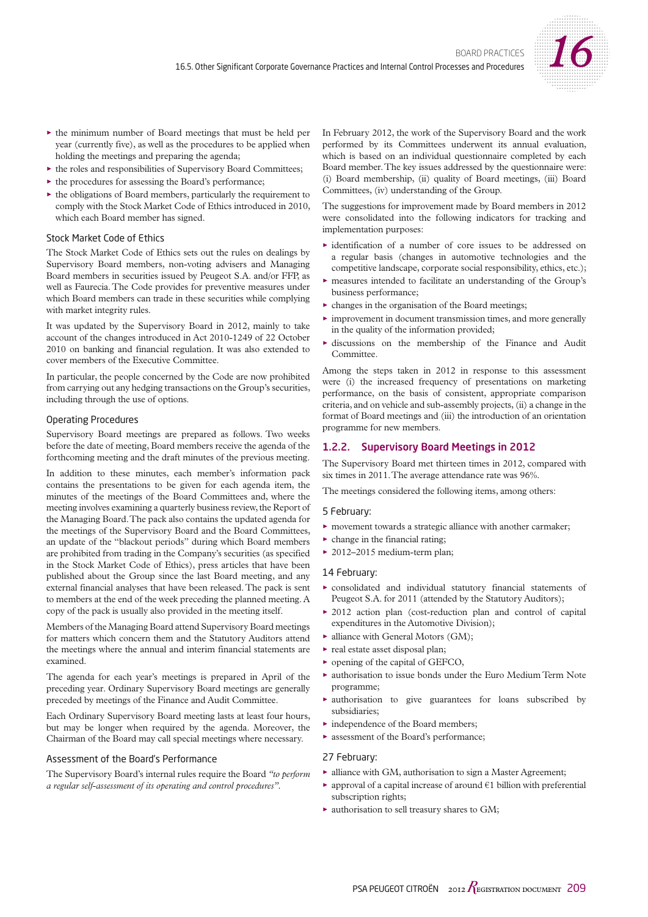

- $\blacktriangleright$  the minimum number of Board meetings that must be held per year (currently five), as well as the procedures to be applied when holding the meetings and preparing the agenda;
- $\blacktriangleright$  the roles and responsibilities of Supervisory Board Committees;
- $\blacktriangleright$  the procedures for assessing the Board's performance;
- $\blacktriangleright$  the obligations of Board members, particularly the requirement to comply with the Stock Market Code of Ethics introduced in 2010, which each Board member has signed.

### Stock Market Code of Ethics

The Stock Market Code of Ethics sets out the rules on dealings by Supervisory Board members, non-voting advisers and Managing Board members in securities issued by Peugeot S.A. and/or FFP, as well as Faurecia. The Code provides for preventive measures under which Board members can trade in these securities while complying with market integrity rules.

It was updated by the Supervisory Board in 2012, mainly to take account of the changes introduced in Act 2010-1249 of 22 October 2010 on banking and financial regulation. It was also extended to cover members of the Executive Committee.

In particular, the people concerned by the Code are now prohibited from carrying out any hedging transactions on the Group's securities, including through the use of options.

#### Operating Procedures

Supervisory Board meetings are prepared as follows. Two weeks before the date of meeting, Board members receive the agenda of the forthcoming meeting and the draft minutes of the previous meeting.

In addition to these minutes, each member's information pack contains the presentations to be given for each agenda item, the minutes of the meetings of the Board Committees and, where the meeting involves examining a quarterly business review, the Report of the Managing Board. The pack also contains the updated agenda for the meetings of the Supervisory Board and the Board Committees, an update of the "blackout periods" during which Board members are prohibited from trading in the Company's securities (as specified in the Stock Market Code of Ethics), press articles that have been published about the Group since the last Board meeting, and any external financial analyses that have been released. The pack is sent to members at the end of the week preceding the planned meeting. A copy of the pack is usually also provided in the meeting itself.

Members of the Managing Board attend Supervisory Board meetings for matters which concern them and the Statutory Auditors attend the meetings where the annual and interim financial statements are examined.

The agenda for each year's meetings is prepared in April of the preceding year. Ordinary Supervisory Board meetings are generally preceded by meetings of the Finance and Audit Committee.

Each Ordinary Supervisory Board meeting lasts at least four hours, but may be longer when required by the agenda. Moreover, the Chairman of the Board may call special meetings where necessary.

### Assessment of the Board's Performance

The Supervisory Board's internal rules require the Board *"to perform a regular self-assessment of its operating and control procedures".*

In February 2012, the work of the Supervisory Board and the work performed by its Committees underwent its annual evaluation, which is based on an individual questionnaire completed by each Board member. The key issues addressed by the questionnaire were: (i) Board membership, (ii) quality of Board meetings, (iii) Board Committees, (iv) understanding of the Group.

The suggestions for improvement made by Board members in 2012 were consolidated into the following indicators for tracking and implementation purposes:

- $\blacktriangleright$  identification of a number of core issues to be addressed on a regular basis (changes in automotive technologies and the competitive landscape, corporate social responsibility, ethics, etc.);
- measures intended to facilitate an understanding of the Group's business performance;
- $\triangleright$  changes in the organisation of the Board meetings;
- $\blacktriangleright$  improvement in document transmission times, and more generally in the quality of the information provided;
- $\triangleright$  discussions on the membership of the Finance and Audit **Committee**

Among the steps taken in 2012 in response to this assessment were (i) the increased frequency of presentations on marketing performance, on the basis of consistent, appropriate comparison criteria, and on vehicle and sub-assembly projects, (ii) a change in the format of Board meetings and (iii) the introduction of an orientation programme for new members.

# 1.2.2. Supervisory Board Meetings in 2012

The Supervisory Board met thirteen times in 2012, compared with six times in 2011. The average attendance rate was 96%.

The meetings considered the following items, among others:

#### 5 February:

- $\blacktriangleright$  movement towards a strategic alliance with another carmaker;
- $\triangleright$  change in the financial rating;
- $\geq$  2012–2015 medium-term plan;

#### 14 February:

- $\triangleright$  consolidated and individual statutory financial statements of Peugeot S.A. for 2011 (attended by the Statutory Auditors);
- $\geq$  2012 action plan (cost-reduction plan and control of capital expenditures in the Automotive Division);
- $\blacktriangleright$  alliance with General Motors (GM);
- $\blacktriangleright$  real estate asset disposal plan;
- $\triangleright$  opening of the capital of GEFCO,
- $\blacktriangleright$  authorisation to issue bonds under the Euro Medium Term Note programme;
- authorisation to give guarantees for loans subscribed by subsidiaries;
- $\blacktriangleright$  independence of the Board members;
- $\blacktriangleright$  assessment of the Board's performance;

#### 27 February:

- $\blacktriangleright$  alliance with GM, authorisation to sign a Master Agreement;
- approval of a capital increase of around  $\epsilon$ 1 billion with preferential subscription rights;
- $\blacktriangleright$  authorisation to sell treasury shares to GM;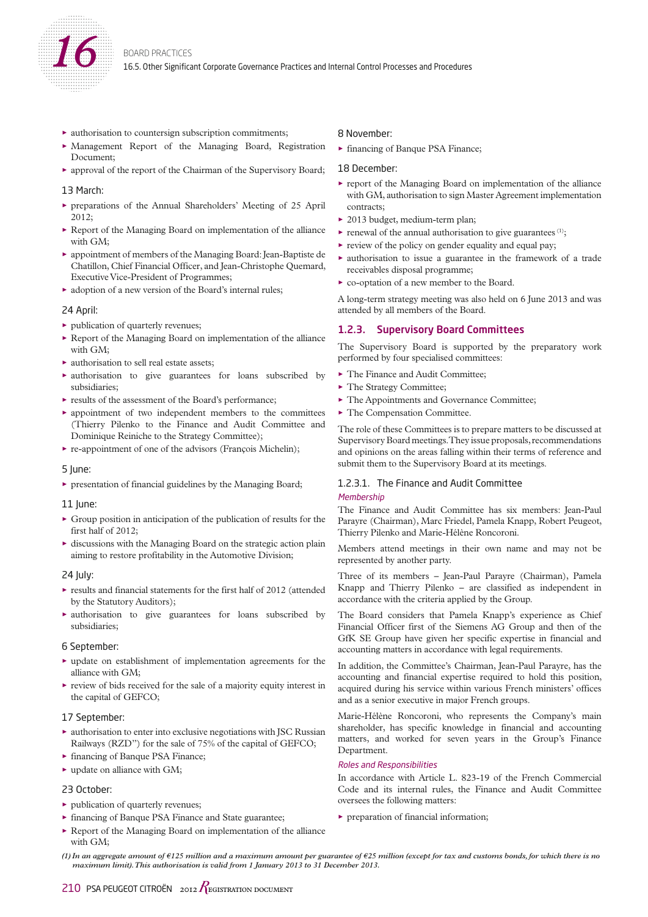

- $\blacktriangleright$  authorisation to countersign subscription commitments;
- O Management Report of the Managing Board, Registration Document;
- O approval of the report of the Chairman of the Supervisory Board;

#### 13 March:

- O preparations of the Annual Shareholders' Meeting of 25 April 2012;
- $\blacktriangleright$  Report of the Managing Board on implementation of the alliance with GM;
- $\triangleright$  appointment of members of the Managing Board: Jean-Baptiste de Chatillon, Chief Financial Officer, and Jean-Christophe Quemard, Executive Vice-President of Programmes;
- $\blacktriangleright$  adoption of a new version of the Board's internal rules;

#### 24 April:

- $\blacktriangleright$  publication of quarterly revenues;
- $\triangleright$  Report of the Managing Board on implementation of the alliance with GM;
- $\blacktriangleright$  authorisation to sell real estate assets;
- $\triangleright$  authorisation to give guarantees for loans subscribed by subsidiaries;
- $\blacktriangleright$  results of the assessment of the Board's performance;
- $\blacktriangleright$  appointment of two independent members to the committees (Thierry Pilenko to the Finance and Audit Committee and Dominique Reiniche to the Strategy Committee);
- $\blacktriangleright$  re-appointment of one of the advisors (François Michelin);

#### 5 June:

 $\blacktriangleright$  presentation of financial guidelines by the Managing Board;

#### 11 lune:

- $\triangleright$  Group position in anticipation of the publication of results for the first half of 2012;
- $\triangleright$  discussions with the Managing Board on the strategic action plain aiming to restore profitability in the Automotive Division;

### 24 July:

- $\blacktriangleright$  results and financial statements for the first half of 2012 (attended by the Statutory Auditors);
- $\triangleright$  authorisation to give guarantees for loans subscribed by subsidiaries;

### 6 September:

- $\blacktriangleright$  update on establishment of implementation agreements for the alliance with GM;
- $\blacktriangleright$  review of bids received for the sale of a majority equity interest in the capital of GEFCO;

### 17 September:

- $\blacktriangleright$  authorisation to enter into exclusive negotiations with JSC Russian Railways (RZD") for the sale of 75% of the capital of GEFCO;
- ► financing of Banque PSA Finance;
- $\blacktriangleright$  update on alliance with GM;

# 23 October:

- $\blacktriangleright$  publication of quarterly revenues;
- $\triangleright$  financing of Banque PSA Finance and State guarantee;
- $\blacktriangleright$  Report of the Managing Board on implementation of the alliance with GM;

### 8 November:

► financing of Banque PSA Finance;

### 18 December:

- $\triangleright$  report of the Managing Board on implementation of the alliance with GM, authorisation to sign Master Agreement implementation contracts;
- ▶ 2013 budget, medium-term plan;
- $\blacktriangleright$  renewal of the annual authorisation to give guarantees  $(1)$ ;
- $\blacktriangleright$  review of the policy on gender equality and equal pay;
- $\triangleright$  authorisation to issue a guarantee in the framework of a trade receivables disposal programme;
- $\triangleright$  co-optation of a new member to the Board.

A long-term strategy meeting was also held on 6 June 2013 and was attended by all members of the Board.

# 1.2.3. Supervisory Board Committees

The Supervisory Board is supported by the preparatory work performed by four specialised committees:

- $\blacktriangleright$  The Finance and Audit Committee;
- The Strategy Committee;
- $\blacktriangleright$  The Appointments and Governance Committee;
- $\blacktriangleright$  The Compensation Committee.

The role of these Committees is to prepare matters to be discussed at Supervisory Board meetings. They issue proposals, recommendations and opinions on the areas falling within their terms of reference and submit them to the Supervisory Board at its meetings.

# 1.2.3.1. The Finance and Audit Committee

#### **Membership**

The Finance and Audit Committee has six members: Jean-Paul Parayre (Chairman), Marc Friedel, Pamela Knapp, Robert Peugeot, Thierry Pilenko and Marie-Hélène Roncoroni.

Members attend meetings in their own name and may not be represented by another party.

Three of its members – Jean-Paul Parayre (Chairman), Pamela Knapp and Thierry Pilenko – are classified as independent in accordance with the criteria applied by the Group.

The Board considers that Pamela Knapp's experience as Chief Financial Officer first of the Siemens AG Group and then of the GfK SE Group have given her specific expertise in financial and accounting matters in accordance with legal requirements.

In addition, the Committee's Chairman, Jean-Paul Parayre, has the accounting and financial expertise required to hold this position, acquired during his service within various French ministers' offices and as a senior executive in major French groups.

Marie-Hélène Roncoroni, who represents the Company's main shareholder, has specific knowledge in financial and accounting matters, and worked for seven years in the Group's Finance Department.

### Roles and Responsibilities

In accordance with Article L. 823-19 of the French Commercial Code and its internal rules, the Finance and Audit Committee oversees the following matters:

 $\blacktriangleright$  preparation of financial information;

*<sup>(1)</sup> In an aggregate amount of €125 million and a maximum amount per guarantee of €25 million (except for tax and customs bonds, for which there is no maximum limit). This authorisation is valid from 1 January 2013 to 31 December 2013.*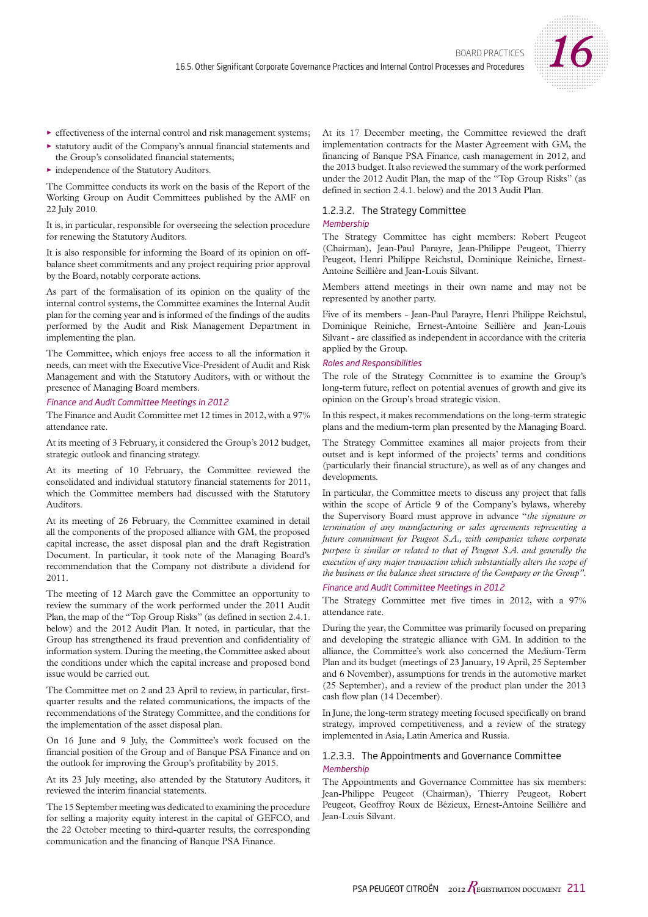

- $\blacktriangleright$  effectiveness of the internal control and risk management systems;
- statutory audit of the Company's annual financial statements and the Group's consolidated financial statements;
- independence of the Statutory Auditors.

The Committee conducts its work on the basis of the Report of the Working Group on Audit Committees published by the AMF on 22 July 2010.

It is, in particular, responsible for overseeing the selection procedure for renewing the Statutory Auditors.

It is also responsible for informing the Board of its opinion on offbalance sheet commitments and any project requiring prior approval by the Board, notably corporate actions.

As part of the formalisation of its opinion on the quality of the internal control systems, the Committee examines the Internal Audit plan for the coming year and is informed of the findings of the audits performed by the Audit and Risk Management Department in implementing the plan.

The Committee, which enjoys free access to all the information it needs, can meet with the Executive Vice-President of Audit and Risk Management and with the Statutory Auditors, with or without the presence of Managing Board members.

#### Finance and Audit Committee Meetings in 2012

The Finance and Audit Committee met 12 times in 2012, with a 97% attendance rate.

At its meeting of 3 February, it considered the Group's 2012 budget, strategic outlook and financing strategy.

At its meeting of 10 February, the Committee reviewed the consolidated and individual statutory financial statements for 2011, which the Committee members had discussed with the Statutory Auditors.

At its meeting of 26 February, the Committee examined in detail all the components of the proposed alliance with GM, the proposed capital increase, the asset disposal plan and the draft Registration Document. In particular, it took note of the Managing Board's recommendation that the Company not distribute a dividend for 2011.

The meeting of 12 March gave the Committee an opportunity to review the summary of the work performed under the 2011 Audit Plan, the map of the "Top Group Risks" (as defined in section 2.4.1. below) and the 2012 Audit Plan. It noted, in particular, that the Group has strengthened its fraud prevention and confidentiality of information system. During the meeting, the Committee asked about the conditions under which the capital increase and proposed bond issue would be carried out.

The Committee met on 2 and 23 April to review, in particular, firstquarter results and the related communications, the impacts of the recommendations of the Strategy Committee, and the conditions for the implementation of the asset disposal plan.

On 16 June and 9 July, the Committee's work focused on the financial position of the Group and of Banque PSA Finance and on the outlook for improving the Group's profitability by 2015.

At its 23 July meeting, also attended by the Statutory Auditors, it reviewed the interim financial statements.

The 15 September meeting was dedicated to examining the procedure for selling a majority equity interest in the capital of GEFCO, and the 22 October meeting to third-quarter results, the corresponding communication and the financing of Banque PSA Finance.

At its 17 December meeting, the Committee reviewed the draft implementation contracts for the Master Agreement with GM, the financing of Banque PSA Finance, cash management in 2012, and the 2013 budget. It also reviewed the summary of the work performed under the 2012 Audit Plan, the map of the "Top Group Risks" (as defined in section 2.4.1. below) and the 2013 Audit Plan.

### 1.2.3.2. The Strategy Committee

### **Membershin**

The Strategy Committee has eight members: Robert Peugeot (Chairman), Jean-Paul Parayre, Jean-Philippe Peugeot, Thierry Peugeot, Henri Philippe Reichstul, Dominique Reiniche, Ernest-Antoine Seillière and Jean-Louis Silvant.

Members attend meetings in their own name and may not be represented by another party.

Five of its members - Jean-Paul Parayre, Henri Philippe Reichstul, Dominique Reiniche, Ernest-Antoine Seillière and Jean-Louis Silvant - are classified as independent in accordance with the criteria applied by the Group.

#### Roles and Responsibilities

The role of the Strategy Committee is to examine the Group's long-term future, reflect on potential avenues of growth and give its opinion on the Group's broad strategic vision.

In this respect, it makes recommendations on the long-term strategic plans and the medium-term plan presented by the Managing Board.

The Strategy Committee examines all major projects from their outset and is kept informed of the projects' terms and conditions (particularly their financial structure), as well as of any changes and developments.

In particular, the Committee meets to discuss any project that falls within the scope of Article 9 of the Company's bylaws, whereby the Supervisory Board must approve in advance "*the signature or termination of any manufacturing or sales agreements representing a future commitment for Peugeot S.A., with companies whose corporate purpose is similar or related to that of Peugeot S.A. and generally the execution of any major transaction which substantially alters the scope of the business or the balance sheet structure of the Company or the Group" .*

### Finance and Audit Committee Meetings in 2012

The Strategy Committee met five times in 2012, with a 97% attendance rate.

During the year, the Committee was primarily focused on preparing and developing the strategic alliance with GM. In addition to the alliance, the Committee's work also concerned the Medium-Term Plan and its budget (meetings of 23 January, 19 April, 25 September and 6 November), assumptions for trends in the automotive market (25 September), and a review of the product plan under the 2013 cash flow plan (14 December).

In June, the long-term strategy meeting focused specifically on brand strategy, improved competitiveness, and a review of the strategy implemented in Asia, Latin America and Russia.

# 1.2.3.3. The Appointments and Governance Committee **Membership**

The Appointments and Governance Committee has six members: Jean-Philippe Peugeot (Chairman), Thierry Peugeot, Robert Peugeot, Geoffroy Roux de Bézieux, Ernest-Antoine Seillière and Jean-Louis Silvant.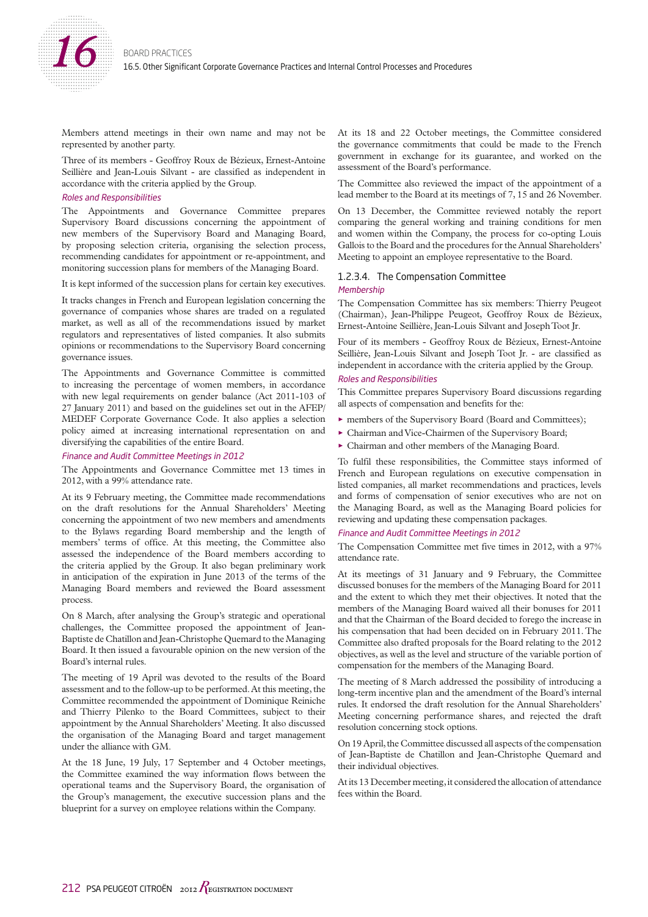

Members attend meetings in their own name and may not be represented by another party.

Three of its members - Geoffroy Roux de Bézieux, Ernest-Antoine Seillière and Jean-Louis Silvant - are classified as independent in accordance with the criteria applied by the Group.

### Roles and Responsibilities

The Appointments and Governance Committee prepares Supervisory Board discussions concerning the appointment of new members of the Supervisory Board and Managing Board, by proposing selection criteria, organising the selection process, recommending candidates for appointment or re-appointment, and monitoring succession plans for members of the Managing Board.

It is kept informed of the succession plans for certain key executives.

It tracks changes in French and European legislation concerning the governance of companies whose shares are traded on a regulated market, as well as all of the recommendations issued by market regulators and representatives of listed companies. It also submits opinions or recommendations to the Supervisory Board concerning governance issues.

The Appointments and Governance Committee is committed to increasing the percentage of women members, in accordance with new legal requirements on gender balance (Act 2011-103 of 27 January 2011) and based on the guidelines set out in the AFEP/ MEDEF Corporate Governance Code. It also applies a selection policy aimed at increasing international representation on and diversifying the capabilities of the entire Board.

#### Finance and Audit Committee Meetings in 2012

The Appointments and Governance Committee met 13 times in 2012, with a 99% attendance rate.

At its 9 February meeting, the Committee made recommendations on the draft resolutions for the Annual Shareholders' Meeting concerning the appointment of two new members and amendments to the Bylaws regarding Board membership and the length of members' terms of office. At this meeting, the Committee also assessed the independence of the Board members according to the criteria applied by the Group. It also began preliminary work in anticipation of the expiration in June 2013 of the terms of the Managing Board members and reviewed the Board assessment process.

On 8 March, after analysing the Group's strategic and operational challenges, the Committee proposed the appointment of Jean-Baptiste de Chatillon and Jean-Christophe Quemard to the Managing Board. It then issued a favourable opinion on the new version of the Board's internal rules.

The meeting of 19 April was devoted to the results of the Board assessment and to the follow-up to be performed. At this meeting, the Committee recommended the appointment of Dominique Reiniche and Thierry Pilenko to the Board Committees, subject to their appointment by the Annual Shareholders' Meeting. It also discussed the organisation of the Managing Board and target management under the alliance with GM.

At the 18 June, 19 July, 17 September and 4 October meetings, the Committee examined the way information flows between the operational teams and the Supervisory Board, the organisation of the Group's management, the executive succession plans and the blueprint for a survey on employee relations within the Company.

At its 18 and 22 October meetings, the Committee considered the governance commitments that could be made to the French government in exchange for its guarantee, and worked on the assessment of the Board's performance.

The Committee also reviewed the impact of the appointment of a lead member to the Board at its meetings of 7, 15 and 26 November.

On 13 December, the Committee reviewed notably the report comparing the general working and training conditions for men and women within the Company, the process for co-opting Louis Gallois to the Board and the procedures for the Annual Shareholders' Meeting to appoint an employee representative to the Board.

#### 1.2.3.4. The Compensation Committee

#### **Membership**

The Compensation Committee has six members: Thierry Peugeot (Chairman), Jean-Philippe Peugeot, Geoffroy Roux de Bézieux, Ernest-Antoine Seillière, Jean-Louis Silvant and Joseph Toot Jr.

Four of its members - Geoffroy Roux de Bézieux, Ernest-Antoine Seillière, Jean-Louis Silvant and Joseph Toot Jr. - are classified as independent in accordance with the criteria applied by the Group.

#### Roles and Responsibilities

This Committee prepares Supervisory Board discussions regarding all aspects of compensation and benefits for the:

- O members of the Supervisory Board (Board and Committees);
- $\blacktriangleright$  Chairman and Vice-Chairmen of the Supervisory Board;
- $\triangleright$  Chairman and other members of the Managing Board.

To fulfil these responsibilities, the Committee stays informed of French and European regulations on executive compensation in listed companies, all market recommendations and practices, levels and forms of compensation of senior executives who are not on the Managing Board, as well as the Managing Board policies for reviewing and updating these compensation packages.

#### Finance and Audit Committee Meetings in 2012

The Compensation Committee met five times in 2012, with a 97% attendance rate.

At its meetings of 31 January and 9 February, the Committee discussed bonuses for the members of the Managing Board for 2011 and the extent to which they met their objectives. It noted that the members of the Managing Board waived all their bonuses for 2011 and that the Chairman of the Board decided to forego the increase in his compensation that had been decided on in February 2011. The Committee also drafted proposals for the Board relating to the 2012 objectives, as well as the level and structure of the variable portion of compensation for the members of the Managing Board.

The meeting of 8 March addressed the possibility of introducing a long-term incentive plan and the amendment of the Board's internal rules. It endorsed the draft resolution for the Annual Shareholders' Meeting concerning performance shares, and rejected the draft resolution concerning stock options.

On 19 April, the Committee discussed all aspects of the compensation of Jean-Baptiste de Chatillon and Jean-Christophe Quemard and their individual objectives.

At its 13 December meeting, it considered the allocation of attendance fees within the Board.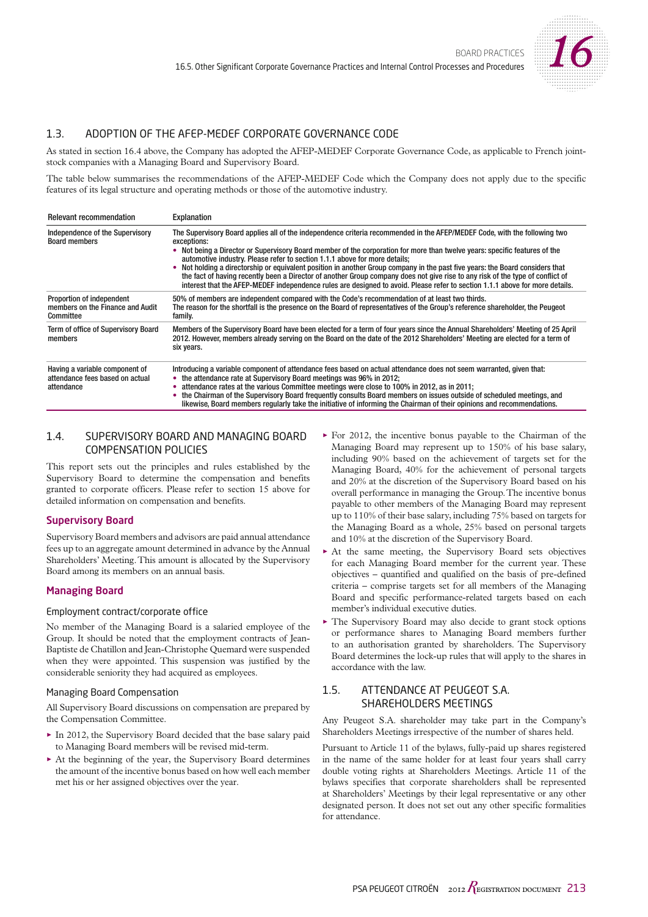

# 1.3. ADOPTION OF THE AFEP-MEDEF CORPORATE GOVERNANCE CODE

As stated in section 16.4 above, the Company has adopted the AFEP-MEDEF Corporate Governance Code, as applicable to French jointstock companies with a Managing Board and Supervisory Board.

The table below summarises the recommendations of the AFEP-MEDEF Code which the Company does not apply due to the specific features of its legal structure and operating methods or those of the automotive industry.

| <b>Relevant recommendation</b>                                                  | Explanation                                                                                                                                                                                                                                                                                                                                                                                                                                                                                                                                                                                                                                                                                                                                         |
|---------------------------------------------------------------------------------|-----------------------------------------------------------------------------------------------------------------------------------------------------------------------------------------------------------------------------------------------------------------------------------------------------------------------------------------------------------------------------------------------------------------------------------------------------------------------------------------------------------------------------------------------------------------------------------------------------------------------------------------------------------------------------------------------------------------------------------------------------|
| Independence of the Supervisory<br><b>Board members</b>                         | The Supervisory Board applies all of the independence criteria recommended in the AFEP/MEDEF Code, with the following two<br>exceptions:<br>Not being a Director or Supervisory Board member of the corporation for more than twelve years: specific features of the<br>automotive industry. Please refer to section 1.1.1 above for more details;<br>Not holding a directorship or equivalent position in another Group company in the past five years: the Board considers that<br>the fact of having recently been a Director of another Group company does not give rise to any risk of the type of conflict of<br>interest that the AFEP-MEDEF independence rules are designed to avoid. Please refer to section 1.1.1 above for more details. |
| Proportion of independent<br>members on the Finance and Audit<br>Committee      | 50% of members are independent compared with the Code's recommendation of at least two thirds.<br>The reason for the shortfall is the presence on the Board of representatives of the Group's reference shareholder, the Peugeot<br>family.                                                                                                                                                                                                                                                                                                                                                                                                                                                                                                         |
| Term of office of Supervisory Board<br>members                                  | Members of the Supervisory Board have been elected for a term of four years since the Annual Shareholders' Meeting of 25 April<br>2012. However, members already serving on the Board on the date of the 2012 Shareholders' Meeting are elected for a term of<br>six years.                                                                                                                                                                                                                                                                                                                                                                                                                                                                         |
| Having a variable component of<br>attendance fees based on actual<br>attendance | Introducing a variable component of attendance fees based on actual attendance does not seem warranted, given that:<br>• the attendance rate at Supervisory Board meetings was 96% in 2012;<br>attendance rates at the various Committee meetings were close to 100% in 2012, as in 2011;<br>the Chairman of the Supervisory Board frequently consults Board members on issues outside of scheduled meetings, and<br>likewise, Board members reqularly take the initiative of informing the Chairman of their opinions and recommendations.                                                                                                                                                                                                         |

# 1.4. SUPERVISORY BOARD AND MANAGING BOARD COMPENSATION POLICIES

This report sets out the principles and rules established by the Supervisory Board to determine the compensation and benefits granted to corporate officers. Please refer to section 15 above for detailed information on compensation and benefits.

# Supervisory Board

Supervisory Board members and advisors are paid annual attendance fees up to an aggregate amount determined in advance by the Annual Shareholders' Meeting. This amount is allocated by the Supervisory Board among its members on an annual basis.

# Managing Board

# Employment contract/corporate office

No member of the Managing Board is a salaried employee of the Group. It should be noted that the employment contracts of Jean-Baptiste de Chatillon and Jean-Christophe Quemard were suspended when they were appointed. This suspension was justified by the considerable seniority they had acquired as employees.

# Managing Board Compensation

All Supervisory Board discussions on compensation are prepared by the Compensation Committee.

- $\blacktriangleright$  In 2012, the Supervisory Board decided that the base salary paid to Managing Board members will be revised mid-term.
- $\triangleright$  At the beginning of the year, the Supervisory Board determines the amount of the incentive bonus based on how well each member met his or her assigned objectives over the year.
- $\blacktriangleright$  For 2012, the incentive bonus payable to the Chairman of the Managing Board may represent up to 150% of his base salary, including 90% based on the achievement of targets set for the Managing Board, 40% for the achievement of personal targets and 20% at the discretion of the Supervisory Board based on his overall performance in managing the Group. The incentive bonus payable to other members of the Managing Board may represent up to 110% of their base salary, including 75% based on targets for the Managing Board as a whole, 25% based on personal targets and 10% at the discretion of the Supervisory Board.
- $\triangleright$  At the same meeting, the Supervisory Board sets objectives for each Managing Board member for the current year. These objectives – quantified and qualified on the basis of pre-defined criteria – comprise targets set for all members of the Managing Board and specific performance-related targets based on each member's individual executive duties.
- The Supervisory Board may also decide to grant stock options or performance shares to Managing Board members further to an authorisation granted by shareholders. The Supervisory Board determines the lock-up rules that will apply to the shares in accordance with the law.

# 1.5. ATTENDANCE AT PEUGEOT S.A. SHAREHOLDERS MEETINGS

Any Peugeot S.A. shareholder may take part in the Company's Shareholders Meetings irrespective of the number of shares held.

Pursuant to Article 11 of the bylaws, fully-paid up shares registered in the name of the same holder for at least four years shall carry double voting rights at Shareholders Meetings. Article 11 of the bylaws specifies that corporate shareholders shall be represented at Shareholders' Meetings by their legal representative or any other designated person. It does not set out any other specific formalities for attendance.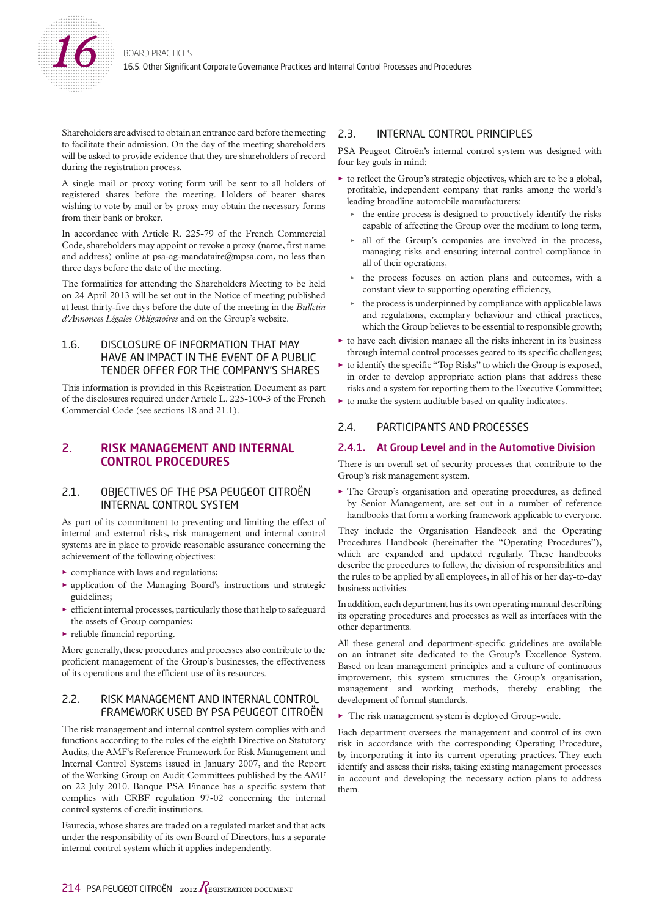

Shareholders are advised to obtain an entrance card before the meeting to facilitate their admission. On the day of the meeting shareholders will be asked to provide evidence that they are shareholders of record during the registration process.

A single mail or proxy voting form will be sent to all holders of registered shares before the meeting. Holders of bearer shares wishing to vote by mail or by proxy may obtain the necessary forms from their bank or broker.

In accordance with Article R. 225-79 of the French Commercial Code, shareholders may appoint or revoke a proxy (name, first name and address) online at psa-ag-mandataire@mpsa.com, no less than three days before the date of the meeting.

The formalities for attending the Shareholders Meeting to be held on 24 April 2013 will be set out in the Notice of meeting published at least thirty-five days before the date of the meeting in the *Bulletin d'Annonces Légales Obligatoires* and on the Group's website.

# 1.6. DISCLOSURE OF INFORMATION THAT MAY HAVE AN IMPACT IN THE EVENT OF A PUBLIC TENDER OFFER FOR THE COMPANY'S SHARES

This information is provided in this Registration Document as part of the disclosures required under Article L. 225-100-3 of the French Commercial Code (see sections 18 and 21.1).

# 2. RISK MANAGEMENT AND INTERNAL CONTROL PROCEDURES

# 2.1. OBJECTIVES OF THE PSA PEUGEOT CITROËN INTERNAL CONTROL SYSTEM

As part of its commitment to preventing and limiting the effect of internal and external risks, risk management and internal control systems are in place to provide reasonable assurance concerning the achievement of the following objectives:

- $\triangleright$  compliance with laws and regulations;
- $\blacktriangleright$  application of the Managing Board's instructions and strategic guidelines;
- $\blacktriangleright$  efficient internal processes, particularly those that help to safeguard the assets of Group companies;
- $\blacktriangleright$  reliable financial reporting.

More generally, these procedures and processes also contribute to the proficient management of the Group's businesses, the effectiveness of its operations and the efficient use of its resources.

# 2.2. RISK MANAGEMENT AND INTERNAL CONTROL FRAMEWORK USED BY PSA PEUGEOT CITROËN

The risk management and internal control system complies with and functions according to the rules of the eighth Directive on Statutory Audits, the AMF's Reference Framework for Risk Management and Internal Control Systems issued in January 2007, and the Report of the Working Group on Audit Committees published by the AMF on 22 July 2010. Banque PSA Finance has a specific system that complies with CRBF regulation 97-02 concerning the internal control systems of credit institutions.

Faurecia, whose shares are traded on a regulated market and that acts under the responsibility of its own Board of Directors, has a separate internal control system which it applies independently.

# 2.3. INTERNAL CONTROL PRINCIPLES

PSA Peugeot Citroën's internal control system was designed with four key goals in mind:

- $\triangleright$  to reflect the Group's strategic objectives, which are to be a global, profitable, independent company that ranks among the world's leading broadline automobile manufacturers:
	- $\triangleright$  the entire process is designed to proactively identify the risks capable of affecting the Group over the medium to long term,
	- $\triangleright$  all of the Group's companies are involved in the process, managing risks and ensuring internal control compliance in all of their operations,
	- the process focuses on action plans and outcomes, with a constant view to supporting operating efficiency,
	- the process is underpinned by compliance with applicable laws and regulations, exemplary behaviour and ethical practices, which the Group believes to be essential to responsible growth;
- $\blacktriangleright$  to have each division manage all the risks inherent in its business through internal control processes geared to its specific challenges;
- $\triangleright$  to identify the specific "Top Risks" to which the Group is exposed, in order to develop appropriate action plans that address these risks and a system for reporting them to the Executive Committee;
- $\blacktriangleright$  to make the system auditable based on quality indicators.

# 2.4. PARTICIPANTS AND PROCESSES

# 2.4.1. At Group Level and in the Automotive Division

There is an overall set of security processes that contribute to the Group's risk management system.

 $\triangleright$  The Group's organisation and operating procedures, as defined by Senior Management, are set out in a number of reference handbooks that form a working framework applicable to everyone.

They include the Organisation Handbook and the Operating Procedures Handbook (hereinafter the "Operating Procedures"), which are expanded and updated regularly. These handbooks describe the procedures to follow, the division of responsibilities and the rules to be applied by all employees, in all of his or her day-to-day business activities.

In addition, each department has its own operating manual describing its operating procedures and processes as well as interfaces with the other departments.

All these general and department-specific guidelines are available on an intranet site dedicated to the Group's Excellence System. Based on lean management principles and a culture of continuous improvement, this system structures the Group's organisation, management and working methods, thereby enabling the development of formal standards.

 $\blacktriangleright$  The risk management system is deployed Group-wide.

Each department oversees the management and control of its own risk in accordance with the corresponding Operating Procedure, by incorporating it into its current operating practices. They each identify and assess their risks, taking existing management processes in account and developing the necessary action plans to address them.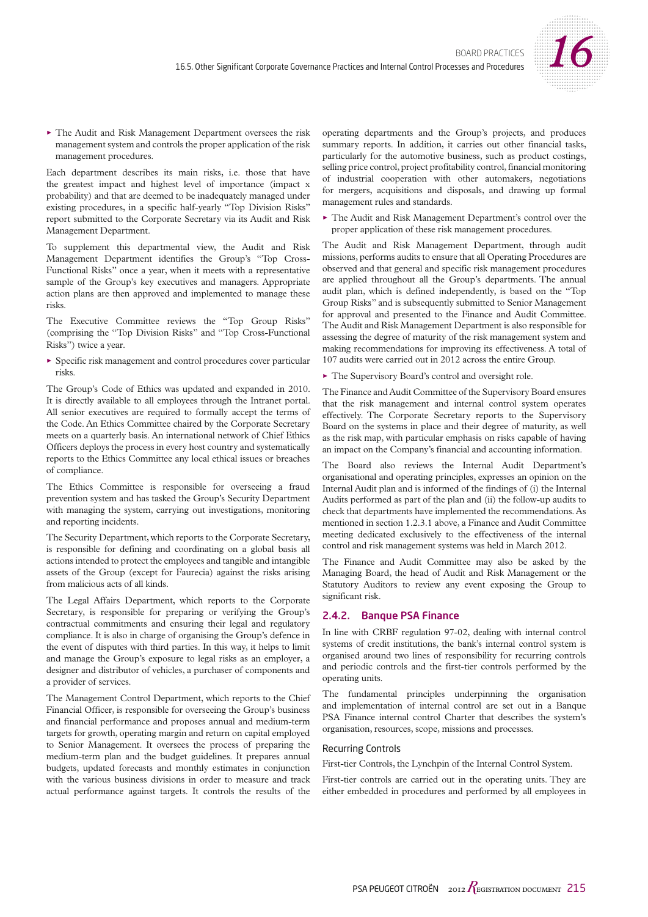

 $\blacktriangleright$  The Audit and Risk Management Department oversees the risk management system and controls the proper application of the risk management procedures.

Each department describes its main risks, i.e. those that have the greatest impact and highest level of importance (impact x probability) and that are deemed to be inadequately managed under existing procedures, in a specific half-yearly "Top Division Risks" report submitted to the Corporate Secretary via its Audit and Risk Management Department.

To supplement this departmental view, the Audit and Risk Management Department identifies the Group's "Top Cross-Functional Risks" once a year, when it meets with a representative sample of the Group's key executives and managers. Appropriate action plans are then approved and implemented to manage these risks.

The Executive Committee reviews the "Top Group Risks" (comprising the "Top Division Risks" and "Top Cross-Functional Risks") twice a year.

 $\triangleright$  Specific risk management and control procedures cover particular risks.

The Group's Code of Ethics was updated and expanded in 2010. It is directly available to all employees through the Intranet portal. All senior executives are required to formally accept the terms of the Code. An Ethics Committee chaired by the Corporate Secretary meets on a quarterly basis. An international network of Chief Ethics Officers deploys the process in every host country and systematically reports to the Ethics Committee any local ethical issues or breaches of compliance.

The Ethics Committee is responsible for overseeing a fraud prevention system and has tasked the Group's Security Department with managing the system, carrying out investigations, monitoring and reporting incidents.

The Security Department, which reports to the Corporate Secretary, is responsible for defining and coordinating on a global basis all actions intended to protect the employees and tangible and intangible assets of the Group (except for Faurecia) against the risks arising from malicious acts of all kinds.

The Legal Affairs Department, which reports to the Corporate Secretary, is responsible for preparing or verifying the Group's contractual commitments and ensuring their legal and regulatory compliance. It is also in charge of organising the Group's defence in the event of disputes with third parties. In this way, it helps to limit and manage the Group's exposure to legal risks as an employer, a designer and distributor of vehicles, a purchaser of components and a provider of services.

The Management Control Department, which reports to the Chief Financial Officer, is responsible for overseeing the Group's business and financial performance and proposes annual and medium-term targets for growth, operating margin and return on capital employed to Senior Management. It oversees the process of preparing the medium-term plan and the budget guidelines. It prepares annual budgets, updated forecasts and monthly estimates in conjunction with the various business divisions in order to measure and track actual performance against targets. It controls the results of the operating departments and the Group's projects, and produces summary reports. In addition, it carries out other financial tasks, particularly for the automotive business, such as product costings, selling price control, project profitability control, financial monitoring of industrial cooperation with other automakers, negotiations for mergers, acquisitions and disposals, and drawing up formal management rules and standards.

O The Audit and Risk Management Department's control over the proper application of these risk management procedures.

The Audit and Risk Management Department, through audit missions, performs audits to ensure that all Operating Procedures are observed and that general and specific risk management procedures are applied throughout all the Group's departments. The annual audit plan, which is defined independently, is based on the "Top Group Risks" and is subsequently submitted to Senior Management for approval and presented to the Finance and Audit Committee. The Audit and Risk Management Department is also responsible for assessing the degree of maturity of the risk management system and making recommendations for improving its effectiveness. A total of 107 audits were carried out in 2012 across the entire Group.

 $\blacktriangleright$  The Supervisory Board's control and oversight role.

The Finance and Audit Committee of the Supervisory Board ensures that the risk management and internal control system operates effectively. The Corporate Secretary reports to the Supervisory Board on the systems in place and their degree of maturity, as well as the risk map, with particular emphasis on risks capable of having an impact on the Company's financial and accounting information.

The Board also reviews the Internal Audit Department's organisational and operating principles, expresses an opinion on the Internal Audit plan and is informed of the findings of (i) the Internal Audits performed as part of the plan and (ii) the follow-up audits to check that departments have implemented the recommendations. As mentioned in section 1.2.3.1 above, a Finance and Audit Committee meeting dedicated exclusively to the effectiveness of the internal control and risk management systems was held in March 2012.

The Finance and Audit Committee may also be asked by the Managing Board, the head of Audit and Risk Management or the Statutory Auditors to review any event exposing the Group to significant risk.

# 2.4.2. Banque PSA Finance

In line with CRBF regulation 97-02, dealing with internal control systems of credit institutions, the bank's internal control system is organised around two lines of responsibility for recurring controls and periodic controls and the first-tier controls performed by the operating units.

The fundamental principles underpinning the organisation and implementation of internal control are set out in a Banque PSA Finance internal control Charter that describes the system's organisation, resources, scope, missions and processes.

### Recurring Controls

First-tier Controls, the Lynchpin of the Internal Control System.

First-tier controls are carried out in the operating units. They are either embedded in procedures and performed by all employees in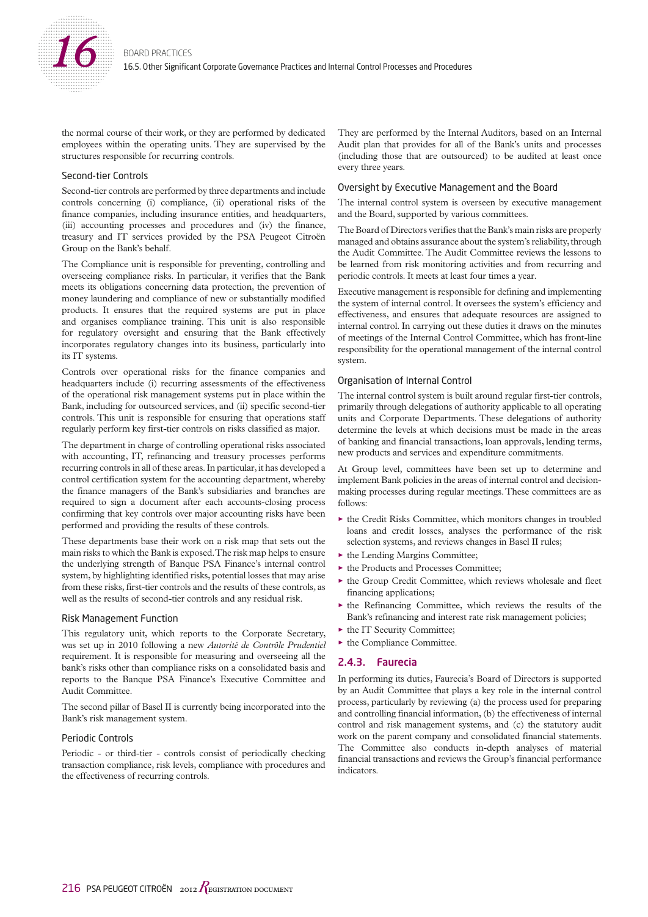

the normal course of their work, or they are performed by dedicated employees within the operating units. They are supervised by the structures responsible for recurring controls.

### Second-tier Controls

Second-tier controls are performed by three departments and include controls concerning (i) compliance, (ii) operational risks of the finance companies, including insurance entities, and headquarters, (iii) accounting processes and procedures and (iv) the finance, treasury and IT services provided by the PSA Peugeot Citroën Group on the Bank's behalf.

The Compliance unit is responsible for preventing, controlling and overseeing compliance risks. In particular, it verifies that the Bank meets its obligations concerning data protection, the prevention of money laundering and compliance of new or substantially modified products. It ensures that the required systems are put in place and organises compliance training. This unit is also responsible for regulatory oversight and ensuring that the Bank effectively incorporates regulatory changes into its business, particularly into its IT systems.

Controls over operational risks for the finance companies and headquarters include (i) recurring assessments of the effectiveness of the operational risk management systems put in place within the Bank, including for outsourced services, and (ii) specific second-tier controls. This unit is responsible for ensuring that operations staff regularly perform key first-tier controls on risks classified as major.

The department in charge of controlling operational risks associated with accounting, IT, refinancing and treasury processes performs recurring controls in all of these areas. In particular, it has developed a control certification system for the accounting department, whereby the finance managers of the Bank's subsidiaries and branches are required to sign a document after each accounts-closing process confirming that key controls over major accounting risks have been performed and providing the results of these controls.

These departments base their work on a risk map that sets out the main risks to which the Bank is exposed. The risk map helps to ensure the underlying strength of Banque PSA Finance's internal control system, by highlighting identified risks, potential losses that may arise from these risks, first-tier controls and the results of these controls, as well as the results of second-tier controls and any residual risk.

#### Risk Management Function

This regulatory unit, which reports to the Corporate Secretary, was set up in 2010 following a new *Autorité de Contrôle Prudentiel*  requirement. It is responsible for measuring and overseeing all the bank's risks other than compliance risks on a consolidated basis and reports to the Banque PSA Finance's Executive Committee and Audit Committee.

The second pillar of Basel II is currently being incorporated into the Bank's risk management system.

### Periodic Controls

Periodic - or third-tier - controls consist of periodically checking transaction compliance, risk levels, compliance with procedures and the effectiveness of recurring controls.

They are performed by the Internal Auditors, based on an Internal Audit plan that provides for all of the Bank's units and processes (including those that are outsourced) to be audited at least once every three years.

#### Oversight by Executive Management and the Board

The internal control system is overseen by executive management and the Board, supported by various committees.

The Board of Directors verifies that the Bank's main risks are properly managed and obtains assurance about the system's reliability, through the Audit Committee. The Audit Committee reviews the lessons to be learned from risk monitoring activities and from recurring and periodic controls. It meets at least four times a year.

Executive management is responsible for defining and implementing the system of internal control. It oversees the system's efficiency and effectiveness, and ensures that adequate resources are assigned to internal control. In carrying out these duties it draws on the minutes of meetings of the Internal Control Committee, which has front-line responsibility for the operational management of the internal control system.

#### Organisation of Internal Control

The internal control system is built around regular first-tier controls, primarily through delegations of authority applicable to all operating units and Corporate Departments. These delegations of authority determine the levels at which decisions must be made in the areas of banking and financial transactions, loan approvals, lending terms, new products and services and expenditure commitments.

At Group level, committees have been set up to determine and implement Bank policies in the areas of internal control and decisionmaking processes during regular meetings. These committees are as follows:

- $\triangleright$  the Credit Risks Committee, which monitors changes in troubled loans and credit losses, analyses the performance of the risk selection systems, and reviews changes in Basel II rules;
- $\blacktriangleright$  the Lending Margins Committee;
- $\blacktriangleright$  the Products and Processes Committee;
- $\triangleright$  the Group Credit Committee, which reviews wholesale and fleet financing applications;
- $\triangleright$  the Refinancing Committee, which reviews the results of the Bank's refinancing and interest rate risk management policies;
- $\blacktriangleright$  the IT Security Committee;
- $\blacktriangleright$  the Compliance Committee.

### 2.4.3. Faurecia

In performing its duties, Faurecia's Board of Directors is supported by an Audit Committee that plays a key role in the internal control process, particularly by reviewing (a) the process used for preparing and controlling financial information, (b) the effectiveness of internal control and risk management systems, and (c) the statutory audit work on the parent company and consolidated financial statements. The Committee also conducts in-depth analyses of material financial transactions and reviews the Group's financial performance indicators.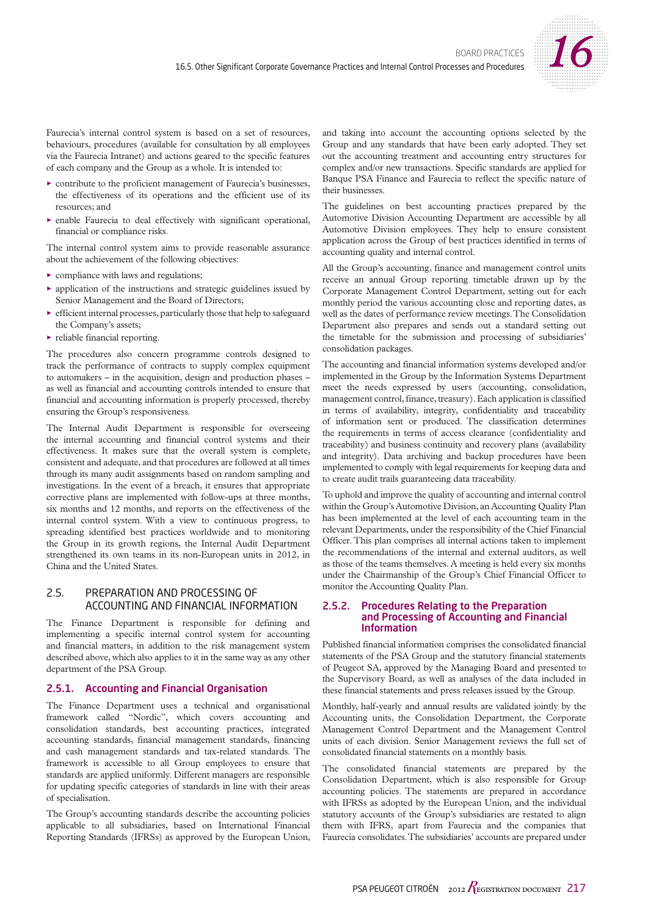

Faurecia's internal control system is based on a set of resources, behaviours, procedures (available for consultation by all employees via the Faurecia Intranet) and actions geared to the specific features of each company and the Group as a whole. It is intended to:

- $\triangleright$  contribute to the proficient management of Faurecia's businesses, the effectiveness of its operations and the efficient use of its resources; and
- enable Faurecia to deal effectively with significant operational, financial or compliance risks.

The internal control system aims to provide reasonable assurance about the achievement of the following objectives:

- $\triangleright$  compliance with laws and regulations;
- $\triangleright$  application of the instructions and strategic guidelines issued by Senior Management and the Board of Directors;
- $\triangleright$  efficient internal processes, particularly those that help to safeguard the Company's assets;
- $\blacktriangleright$  reliable financial reporting.

The procedures also concern programme controls designed to track the performance of contracts to supply complex equipment to automakers – in the acquisition, design and production phases – as well as financial and accounting controls intended to ensure that financial and accounting information is properly processed, thereby ensuring the Group's responsiveness.

The Internal Audit Department is responsible for overseeing the internal accounting and financial control systems and their effectiveness. It makes sure that the overall system is complete, consistent and adequate, and that procedures are followed at all times through its many audit assignments based on random sampling and investigations. In the event of a breach, it ensures that appropriate corrective plans are implemented with follow-ups at three months, six months and 12 months, and reports on the effectiveness of the internal control system. With a view to continuous progress, to spreading identified best practices worldwide and to monitoring the Group in its growth regions, the Internal Audit Department strengthened its own teams in its non-European units in 2012, in China and the United States.

# 2.5. PREPARATION AND PROCESSING OF ACCOUNTING AND FINANCIAL INFORMATION

The Finance Department is responsible for defining and implementing a specific internal control system for accounting and financial matters, in addition to the risk management system described above, which also applies to it in the same way as any other department of the PSA Group.

# 2.5.1. Accounting and Financial Organisation

The Finance Department uses a technical and organisational framework called "Nordic", which covers accounting and consolidation standards, best accounting practices, integrated accounting standards, financial management standards, financing and cash management standards and tax-related standards. The framework is accessible to all Group employees to ensure that standards are applied uniformly. Different managers are responsible for updating specific categories of standards in line with their areas of specialisation.

The Group's accounting standards describe the accounting policies applicable to all subsidiaries, based on International Financial Reporting Standards (IFRSs) as approved by the European Union, and taking into account the accounting options selected by the Group and any standards that have been early adopted. They set out the accounting treatment and accounting entry structures for complex and/or new transactions. Specific standards are applied for Banque PSA Finance and Faurecia to reflect the specific nature of their businesses.

The guidelines on best accounting practices prepared by the Automotive Division Accounting Department are accessible by all Automotive Division employees. They help to ensure consistent application across the Group of best practices identified in terms of accounting quality and internal control.

All the Group's accounting, finance and management control units receive an annual Group reporting timetable drawn up by the Corporate Management Control Department, setting out for each monthly period the various accounting close and reporting dates, as well as the dates of performance review meetings. The Consolidation Department also prepares and sends out a standard setting out the timetable for the submission and processing of subsidiaries' consolidation packages.

The accounting and financial information systems developed and/or implemented in the Group by the Information Systems Department meet the needs expressed by users (accounting, consolidation, management control, finance, treasury). Each application is classified in terms of availability, integrity, confidentiality and traceability of information sent or produced. The classification determines the requirements in terms of access clearance (confidentiality and traceability) and business continuity and recovery plans (availability and integrity). Data archiving and backup procedures have been implemented to comply with legal requirements for keeping data and to create audit trails guaranteeing data traceability.

To uphold and improve the quality of accounting and internal control within the Group's Automotive Division, an Accounting Quality Plan has been implemented at the level of each accounting team in the relevant Departments, under the responsibility of the Chief Financial Officer. This plan comprises all internal actions taken to implement the recommendations of the internal and external auditors, as well as those of the teams themselves. A meeting is held every six months under the Chairmanship of the Group's Chief Financial Officer to monitor the Accounting Quality Plan.

### 2.5.2. Procedures Relating to the Preparation and Processing of Accounting and Financial Information

Published financial information comprises the consolidated financial statements of the PSA Group and the statutory financial statements of Peugeot SA, approved by the Managing Board and presented to the Supervisory Board, as well as analyses of the data included in these financial statements and press releases issued by the Group.

Monthly, half-yearly and annual results are validated jointly by the Accounting units, the Consolidation Department, the Corporate Management Control Department and the Management Control units of each division. Senior Management reviews the full set of consolidated financial statements on a monthly basis.

The consolidated financial statements are prepared by the Consolidation Department, which is also responsible for Group accounting policies. The statements are prepared in accordance with IFRSs as adopted by the European Union, and the individual statutory accounts of the Group's subsidiaries are restated to align them with IFRS, apart from Faurecia and the companies that Faurecia consolidates. The subsidiaries' accounts are prepared under